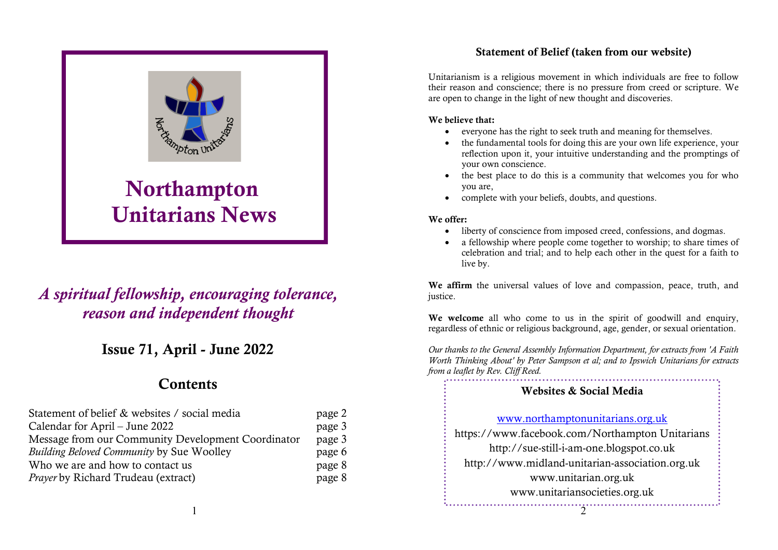#### Statement of Belief (taken from our website)



# A spiritual fellowship, encouraging tolerance, reason and independent thought

## Issue 71, April - June 2022

## **Contents**

| Statement of belief & websites / social media      | page 2 |
|----------------------------------------------------|--------|
| Calendar for April – June 2022                     | page 3 |
| Message from our Community Development Coordinator | page 3 |
| <b>Building Beloved Community by Sue Woolley</b>   | page 6 |
| Who we are and how to contact us                   | page 8 |
| Prayer by Richard Trudeau (extract)                | page 8 |

Unitarianism is a religious movement in which individuals are free to follow their reason and conscience; there is no pressure from creed or scripture. We are open to change in the light of new thought and discoveries.

#### We believe that:

- everyone has the right to seek truth and meaning for themselves.
- the fundamental tools for doing this are your own life experience, your reflection upon it, your intuitive understanding and the promptings of your own conscience.
- the best place to do this is a community that welcomes you for who you are,
- complete with your beliefs, doubts, and questions.

#### We offer:

- liberty of conscience from imposed creed, confessions, and dogmas.
- a fellowship where people come together to worship; to share times of celebration and trial; and to help each other in the quest for a faith to live by.

We affirm the universal values of love and compassion, peace, truth, and justice.

We welcome all who come to us in the spirit of goodwill and enquiry, regardless of ethnic or religious background, age, gender, or sexual orientation.

Our thanks to the General Assembly Information Department, for extracts from 'A Faith Worth Thinking About' by Peter Sampson et al; and to Ipswich Unitarians for extracts from a leaflet by Rev. Cliff Reed.

# 2 Websites & Social Media www.northamptonunitarians.org.uk https://www.facebook.com/Northampton Unitarians http://sue-still-i-am-one.blogspot.co.uk http://www.midland-unitarian-association.org.uk www.unitarian.org.uk www.unitariansocieties.org.uk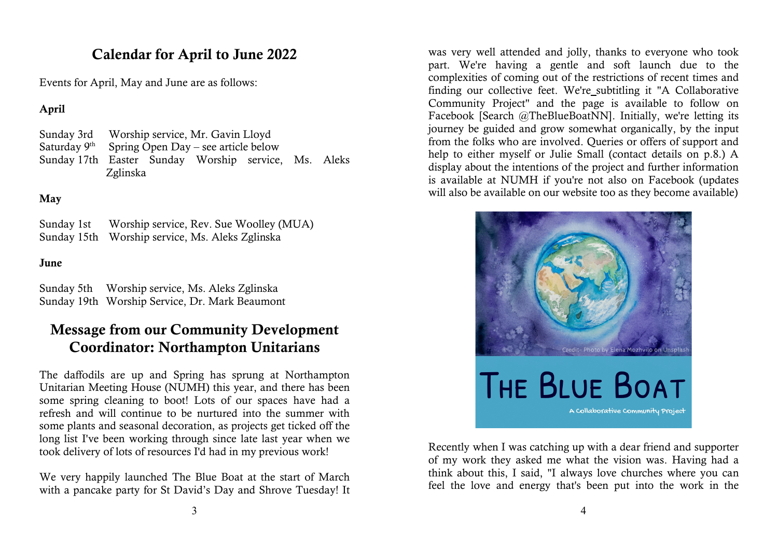## Calendar for April to June 2022

Events for April, May and June are as follows:

### April

Sunday 3rd Worship service, Mr. Gavin Lloyd Saturday  $9<sup>th</sup>$  Spring Open Day – see article below Sunday 17th Easter Sunday Worship service, Ms. Aleks Zglinska

### May

Sunday 1st Worship service, Rev. Sue Woolley (MUA) Sunday 15th Worship service, Ms. Aleks Zglinska

#### June

Sunday 5th Worship service, Ms. Aleks Zglinska Sunday 19th Worship Service, Dr. Mark Beaumont

## Message from our Community Development Coordinator: Northampton Unitarians

The daffodils are up and Spring has sprung at Northampton Unitarian Meeting House (NUMH) this year, and there has been some spring cleaning to boot! Lots of our spaces have had a refresh and will continue to be nurtured into the summer with some plants and seasonal decoration, as projects get ticked off the long list I've been working through since late last year when we took delivery of lots of resources I'd had in my previous work!

We very happily launched The Blue Boat at the start of March with a pancake party for St David's Day and Shrove Tuesday! It

was very well attended and jolly, thanks to everyone who took part. We're having a gentle and soft launch due to the complexities of coming out of the restrictions of recent times and finding our collective feet. We're subtitling it "A Collaborative Community Project" and the page is available to follow on Facebook [Search @TheBlueBoatNN]. Initially, we're letting its journey be guided and grow somewhat organically, by the input from the folks who are involved. Queries or offers of support and help to either myself or Julie Small (contact details on p.8.) A display about the intentions of the project and further information is available at NUMH if you're not also on Facebook (updates will also be available on our website too as they become available)



Recently when I was catching up with a dear friend and supporter of my work they asked me what the vision was. Having had a think about this, I said, "I always love churches where you can feel the love and energy that's been put into the work in the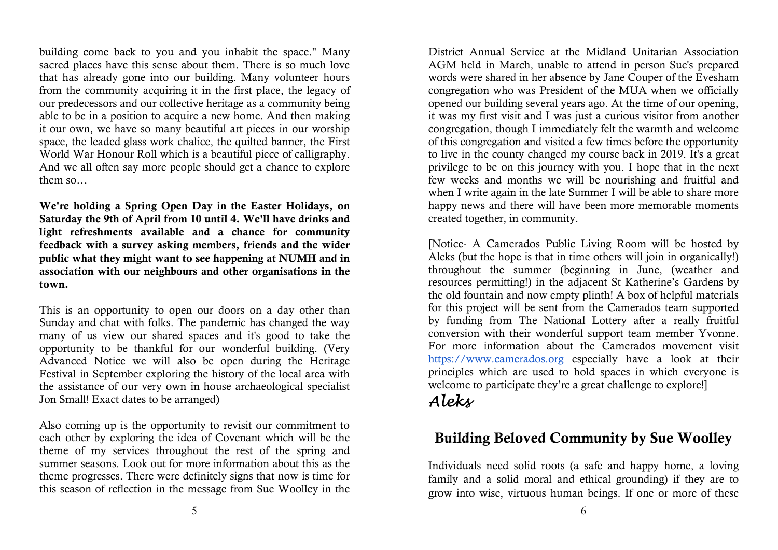building come back to you and you inhabit the space." Many sacred places have this sense about them. There is so much love that has already gone into our building. Many volunteer hours from the community acquiring it in the first place, the legacy of our predecessors and our collective heritage as a community being able to be in a position to acquire a new home. And then making it our own, we have so many beautiful art pieces in our worship space, the leaded glass work chalice, the quilted banner, the First World War Honour Roll which is a beautiful piece of calligraphy. And we all often say more people should get a chance to explore them so…

We're holding a Spring Open Day in the Easter Holidays, on Saturday the 9th of April from 10 until 4. We'll have drinks and light refreshments available and a chance for community feedback with a survey asking members, friends and the wider public what they might want to see happening at NUMH and in association with our neighbours and other organisations in the town.

This is an opportunity to open our doors on a day other than Sunday and chat with folks. The pandemic has changed the way many of us view our shared spaces and it's good to take the opportunity to be thankful for our wonderful building. (Very Advanced Notice we will also be open during the Heritage Festival in September exploring the history of the local area with the assistance of our very own in house archaeological specialist Jon Small! Exact dates to be arranged)

Also coming up is the opportunity to revisit our commitment to each other by exploring the idea of Covenant which will be the theme of my services throughout the rest of the spring and summer seasons. Look out for more information about this as the theme progresses. There were definitely signs that now is time for this season of reflection in the message from Sue Woolley in the

District Annual Service at the Midland Unitarian Association AGM held in March, unable to attend in person Sue's prepared words were shared in her absence by Jane Couper of the Evesham congregation who was President of the MUA when we officially opened our building several years ago. At the time of our opening, it was my first visit and I was just a curious visitor from another congregation, though I immediately felt the warmth and welcome of this congregation and visited a few times before the opportunity to live in the county changed my course back in 2019. It's a great privilege to be on this journey with you. I hope that in the next few weeks and months we will be nourishing and fruitful and when I write again in the late Summer I will be able to share more happy news and there will have been more memorable moments created together, in community.

[Notice- A Camerados Public Living Room will be hosted by Aleks (but the hope is that in time others will join in organically!) throughout the summer (beginning in June, (weather and resources permitting!) in the adjacent St Katherine's Gardens by the old fountain and now empty plinth! A box of helpful materials for this project will be sent from the Camerados team supported by funding from The National Lottery after a really fruitful conversion with their wonderful support team member Yvonne. For more information about the Camerados movement visit https://www.camerados.org especially have a look at their principles which are used to hold spaces in which everyone is welcome to participate they're a great challenge to explore!]

# Aleks

# Building Beloved Community by Sue Woolley

Individuals need solid roots (a safe and happy home, a loving family and a solid moral and ethical grounding) if they are to grow into wise, virtuous human beings. If one or more of these